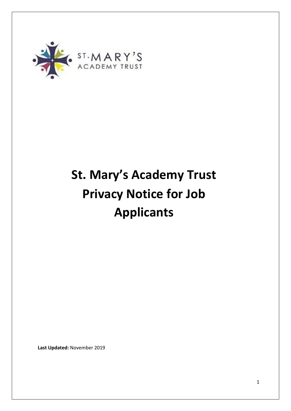

# **St. Mary's Academy Trust Privacy Notice for Job Applicants**

**Last Updated:** November 2019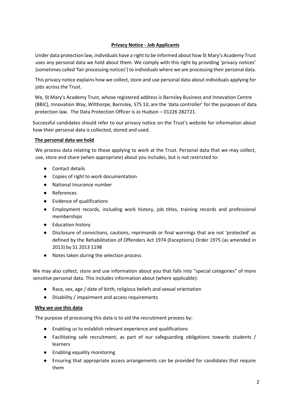# **Privacy Notice - Job Applicants**

Under data protection law, individuals have a right to be informed about how St Mary's Academy Trust uses any personal data we hold about them. We comply with this right by providing 'privacy notices' (sometimes called 'fair processing notices') to individuals where we are processing their personal data.

This privacy notice explains how we collect, store and use personal data about individuals applying for jobs across the Trust.

We, St Mary's Academy Trust, whose registered address is Barnsley Business and Innovation Centre (BBIC), Innovation Way, Wilthorpe, Barnsley, S75 1JL are the 'data controller' for the purposes of data protection law. The Data Protection Officer is Jo Hudson – 01226 282721.

Successful candidates should refer to our privacy notice on the Trust's website for information about how their personal data is collected, stored and used.

### **The personal data we hold**

We process data relating to those applying to work at the Trust. Personal data that we may collect, use, store and share (when appropriate) about you includes, but is not restricted to:

- Contact details
- Copies of right to work documentation
- National Insurance number
- References
- Evidence of qualifications
- Employment records, including work history, job titles, training records and professional memberships
- Education history
- Disclosure of convictions, cautions, reprimands or final warnings that are not 'protected' as defined by the Rehabilitation of Offenders Act 1974 (Exceptions) Order 1975 (as amended in 2013) by S1 2013 1198
- Notes taken during the selection process

We may also collect, store and use information about you that falls into "special categories" of more sensitive personal data. This includes information about (where applicable):

- Race, sex, age / date of birth, religious beliefs and sexual orientation
- Disability / impairment and access requirements

#### **Why we use this data**

The purpose of processing this data is to aid the recruitment process by:

- Enabling us to establish relevant experience and qualifications
- Facilitating safe recruitment, as part of our safeguarding obligations towards students / learners
- Enabling equality monitoring
- Ensuring that appropriate access arrangements can be provided for candidates that require them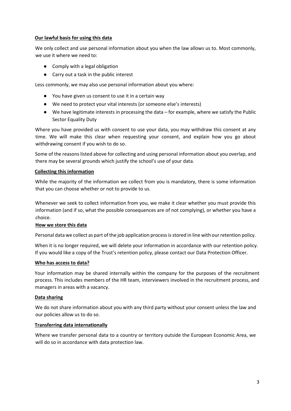### **Our lawful basis for using this data**

We only collect and use personal information about you when the law allows us to. Most commonly, we use it where we need to:

- Comply with a legal obligation
- Carry out a task in the public interest

Less commonly, we may also use personal information about you where:

- You have given us consent to use it in a certain way
- We need to protect your vital interests (or someone else's interests)
- We have legitimate interests in processing the data for example, where we satisfy the Public Sector Equality Duty

Where you have provided us with consent to use your data, you may withdraw this consent at any time. We will make this clear when requesting your consent, and explain how you go about withdrawing consent if you wish to do so.

Some of the reasons listed above for collecting and using personal information about you overlap, and there may be several grounds which justify the school's use of your data.

### **Collecting this information**

While the majority of the information we collect from you is mandatory, there is some information that you can choose whether or not to provide to us.

Whenever we seek to collect information from you, we make it clear whether you must provide this information (and if so, what the possible consequences are of not complying), or whether you have a choice.

# **How we store this data**

Personal data we collect as part of the job application process is stored in line with our retention policy.

When it is no longer required, we will delete your information in accordance with our retention policy. If you would like a copy of the Trust's retention policy, please contact our Data Protection Officer.

# **Who has access to data?**

Your information may be shared internally within the company for the purposes of the recruitment process. This includes members of the HR team, interviewers involved in the recruitment process, and managers in areas with a vacancy.

# **Data sharing**

We do not share information about you with any third party without your consent unless the law and our policies allow us to do so.

#### **Transferring data internationally**

Where we transfer personal data to a country or territory outside the European Economic Area, we will do so in accordance with data protection law.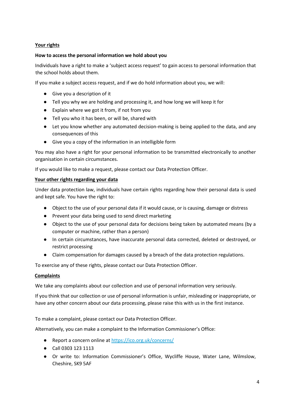# **Your rights**

## **How to access the personal information we hold about you**

Individuals have a right to make a 'subject access request' to gain access to personal information that the school holds about them.

If you make a subject access request, and if we do hold information about you, we will:

- Give you a description of it
- Tell you why we are holding and processing it, and how long we will keep it for
- Explain where we got it from, if not from you
- Tell you who it has been, or will be, shared with
- Let you know whether any automated decision-making is being applied to the data, and any consequences of this
- Give you a copy of the information in an intelligible form

You may also have a right for your personal information to be transmitted electronically to another organisation in certain circumstances.

If you would like to make a request, please contact our Data Protection Officer.

#### **Your other rights regarding your data**

Under data protection law, individuals have certain rights regarding how their personal data is used and kept safe. You have the right to:

- Object to the use of your personal data if it would cause, or is causing, damage or distress
- Prevent your data being used to send direct marketing
- Object to the use of your personal data for decisions being taken by automated means (by a computer or machine, rather than a person)
- In certain circumstances, have inaccurate personal data corrected, deleted or destroyed, or restrict processing
- Claim compensation for damages caused by a breach of the data protection regulations.

To exercise any of these rights, please contact our Data Protection Officer.

#### **Complaints**

We take any complaints about our collection and use of personal information very seriously.

If you think that our collection or use of personal information is unfair, misleading or inappropriate, or have any other concern about our data processing, please raise this with us in the first instance.

To make a complaint, please contact our Data Protection Officer.

Alternatively, you can make a complaint to the Information Commissioner's Office:

- Report a concern online at <https://ico.org.uk/concerns/>
- Call 0303 123 1113
- Or write to: Information Commissioner's Office, Wycliffe House, Water Lane, Wilmslow, Cheshire, SK9 5AF